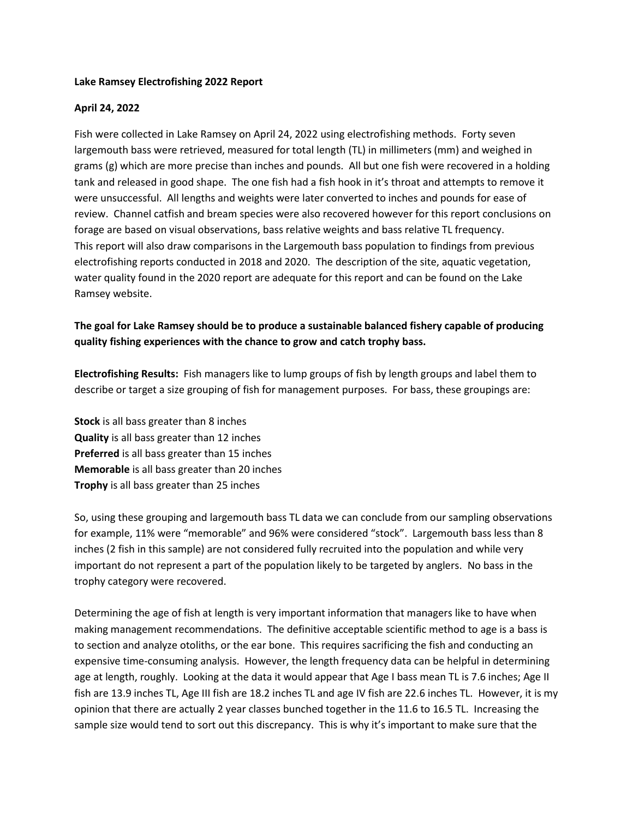## **Lake Ramsey Electrofishing 2022 Report**

## **April 24, 2022**

Fish were collected in Lake Ramsey on April 24, 2022 using electrofishing methods. Forty seven largemouth bass were retrieved, measured for total length (TL) in millimeters (mm) and weighed in grams (g) which are more precise than inches and pounds. All but one fish were recovered in a holding tank and released in good shape. The one fish had a fish hook in it's throat and attempts to remove it were unsuccessful. All lengths and weights were later converted to inches and pounds for ease of review. Channel catfish and bream species were also recovered however for this report conclusions on forage are based on visual observations, bass relative weights and bass relative TL frequency. This report will also draw comparisons in the Largemouth bass population to findings from previous electrofishing reports conducted in 2018 and 2020. The description of the site, aquatic vegetation, water quality found in the 2020 report are adequate for this report and can be found on the Lake Ramsey website.

## **The goal for Lake Ramsey should be to produce a sustainable balanced fishery capable of producing quality fishing experiences with the chance to grow and catch trophy bass.**

**Electrofishing Results:** Fish managers like to lump groups of fish by length groups and label them to describe or target a size grouping of fish for management purposes. For bass, these groupings are:

**Stock** is all bass greater than 8 inches **Quality** is all bass greater than 12 inches **Preferred** is all bass greater than 15 inches **Memorable** is all bass greater than 20 inches **Trophy** is all bass greater than 25 inches

So, using these grouping and largemouth bass TL data we can conclude from our sampling observations for example, 11% were "memorable" and 96% were considered "stock". Largemouth bass less than 8 inches (2 fish in this sample) are not considered fully recruited into the population and while very important do not represent a part of the population likely to be targeted by anglers. No bass in the trophy category were recovered.

Determining the age of fish at length is very important information that managers like to have when making management recommendations. The definitive acceptable scientific method to age is a bass is to section and analyze otoliths, or the ear bone. This requires sacrificing the fish and conducting an expensive time-consuming analysis. However, the length frequency data can be helpful in determining age at length, roughly. Looking at the data it would appear that Age I bass mean TL is 7.6 inches; Age II fish are 13.9 inches TL, Age III fish are 18.2 inches TL and age IV fish are 22.6 inches TL. However, it is my opinion that there are actually 2 year classes bunched together in the 11.6 to 16.5 TL. Increasing the sample size would tend to sort out this discrepancy. This is why it's important to make sure that the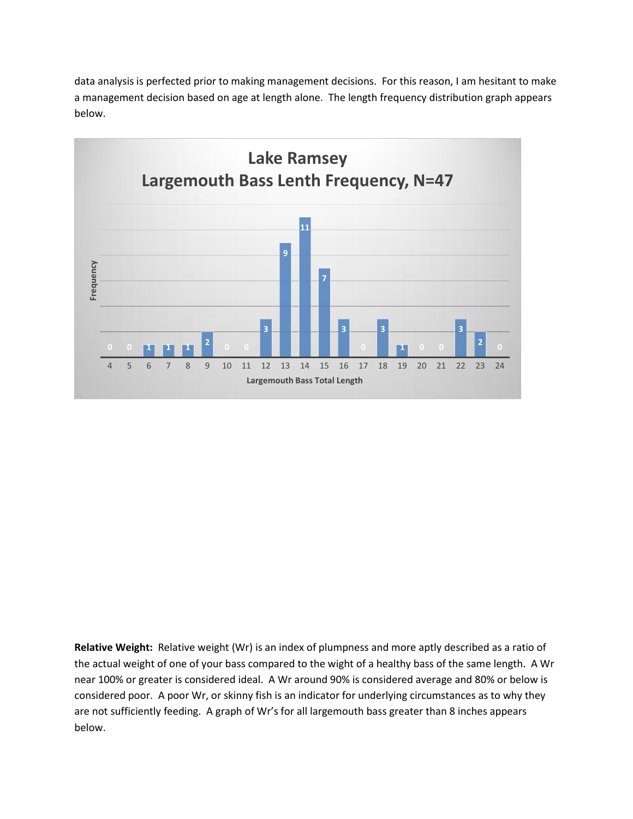data analysis is perfected prior to making management decisions. For this reason, I am hesitant to make a management decision based on age at length alone. The length frequency distribution graph appears below.



**Relative Weight:** Relative weight (Wr) is an index of plumpness and more aptly described as a ratio of the actual weight of one of your bass compared to the wight of a healthy bass of the same length. A Wr near 100% or greater is considered ideal. A Wr around 90% is considered average and 80% or below is considered poor. A poor Wr, or skinny fish is an indicator for underlying circumstances as to why they are not sufficiently feeding. A graph of Wr's for all largemouth bass greater than 8 inches appears below.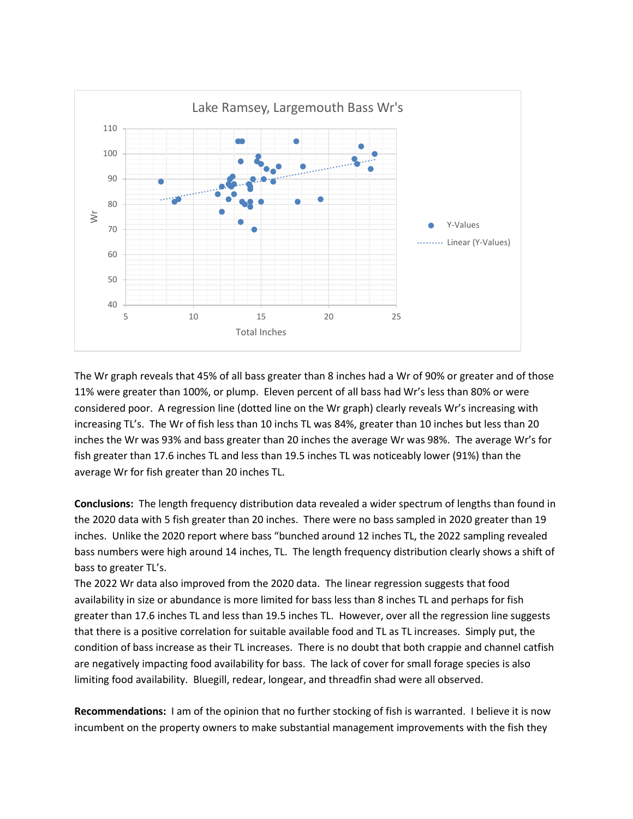

The Wr graph reveals that 45% of all bass greater than 8 inches had a Wr of 90% or greater and of those 11% were greater than 100%, or plump. Eleven percent of all bass had Wr's less than 80% or were considered poor. A regression line (dotted line on the Wr graph) clearly reveals Wr's increasing with increasing TL's. The Wr of fish less than 10 inchs TL was 84%, greater than 10 inches but less than 20 inches the Wr was 93% and bass greater than 20 inches the average Wr was 98%. The average Wr's for fish greater than 17.6 inches TL and less than 19.5 inches TL was noticeably lower (91%) than the average Wr for fish greater than 20 inches TL.

**Conclusions:** The length frequency distribution data revealed a wider spectrum of lengths than found in the 2020 data with 5 fish greater than 20 inches. There were no bass sampled in 2020 greater than 19 inches. Unlike the 2020 report where bass "bunched around 12 inches TL, the 2022 sampling revealed bass numbers were high around 14 inches, TL. The length frequency distribution clearly shows a shift of bass to greater TL's.

The 2022 Wr data also improved from the 2020 data. The linear regression suggests that food availability in size or abundance is more limited for bass less than 8 inches TL and perhaps for fish greater than 17.6 inches TL and less than 19.5 inches TL. However, over all the regression line suggests that there is a positive correlation for suitable available food and TL as TL increases. Simply put, the condition of bass increase as their TL increases. There is no doubt that both crappie and channel catfish are negatively impacting food availability for bass. The lack of cover for small forage species is also limiting food availability. Bluegill, redear, longear, and threadfin shad were all observed.

**Recommendations:** I am of the opinion that no further stocking of fish is warranted. I believe it is now incumbent on the property owners to make substantial management improvements with the fish they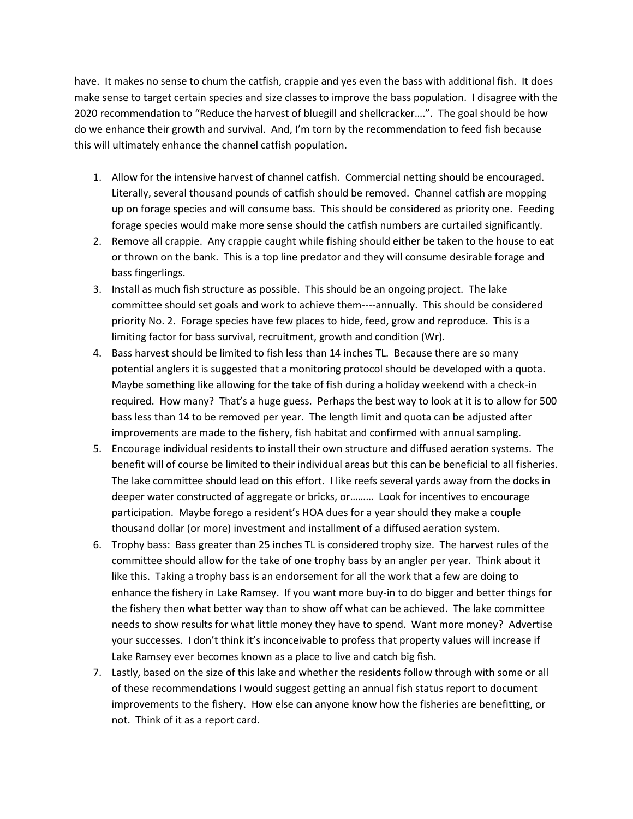have. It makes no sense to chum the catfish, crappie and yes even the bass with additional fish. It does make sense to target certain species and size classes to improve the bass population. I disagree with the 2020 recommendation to "Reduce the harvest of bluegill and shellcracker….". The goal should be how do we enhance their growth and survival. And, I'm torn by the recommendation to feed fish because this will ultimately enhance the channel catfish population.

- 1. Allow for the intensive harvest of channel catfish. Commercial netting should be encouraged. Literally, several thousand pounds of catfish should be removed. Channel catfish are mopping up on forage species and will consume bass. This should be considered as priority one. Feeding forage species would make more sense should the catfish numbers are curtailed significantly.
- 2. Remove all crappie. Any crappie caught while fishing should either be taken to the house to eat or thrown on the bank. This is a top line predator and they will consume desirable forage and bass fingerlings.
- 3. Install as much fish structure as possible. This should be an ongoing project. The lake committee should set goals and work to achieve them----annually. This should be considered priority No. 2. Forage species have few places to hide, feed, grow and reproduce. This is a limiting factor for bass survival, recruitment, growth and condition (Wr).
- 4. Bass harvest should be limited to fish less than 14 inches TL. Because there are so many potential anglers it is suggested that a monitoring protocol should be developed with a quota. Maybe something like allowing for the take of fish during a holiday weekend with a check-in required. How many? That's a huge guess. Perhaps the best way to look at it is to allow for 500 bass less than 14 to be removed per year. The length limit and quota can be adjusted after improvements are made to the fishery, fish habitat and confirmed with annual sampling.
- 5. Encourage individual residents to install their own structure and diffused aeration systems. The benefit will of course be limited to their individual areas but this can be beneficial to all fisheries. The lake committee should lead on this effort. I like reefs several yards away from the docks in deeper water constructed of aggregate or bricks, or……… Look for incentives to encourage participation. Maybe forego a resident's HOA dues for a year should they make a couple thousand dollar (or more) investment and installment of a diffused aeration system.
- 6. Trophy bass: Bass greater than 25 inches TL is considered trophy size. The harvest rules of the committee should allow for the take of one trophy bass by an angler per year. Think about it like this. Taking a trophy bass is an endorsement for all the work that a few are doing to enhance the fishery in Lake Ramsey. If you want more buy-in to do bigger and better things for the fishery then what better way than to show off what can be achieved. The lake committee needs to show results for what little money they have to spend. Want more money? Advertise your successes. I don't think it's inconceivable to profess that property values will increase if Lake Ramsey ever becomes known as a place to live and catch big fish.
- 7. Lastly, based on the size of this lake and whether the residents follow through with some or all of these recommendations I would suggest getting an annual fish status report to document improvements to the fishery. How else can anyone know how the fisheries are benefitting, or not. Think of it as a report card.